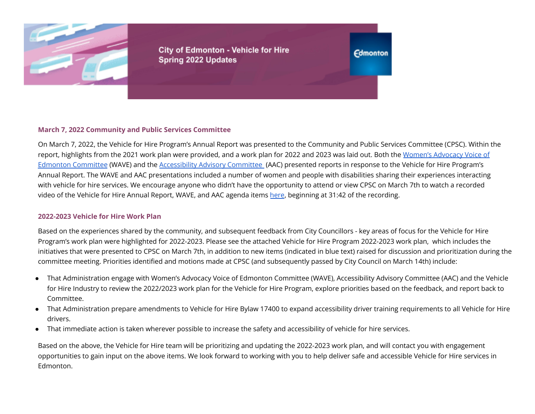

**City of Edmonton - Vehicle for Hire Spring 2022 Updates** 

**Edmonton** 

# **March 7, 2022 Community and Public Services Committee**

On March 7, 2022, the Vehicle for Hire Program's Annual Report was presented to the Community and Public Services Committee (CPSC). Within the report, highlights from the 2021 work plan were provided, and a work plan for 2022 and 2023 was laid out. Both the Women's [Advocacy](https://www.edmonton.ca/city_government/city_organization/accessibility-advisory-committee) Voice of Edmonton [Committee](https://www.edmonton.ca/city_government/city_organization/accessibility-advisory-committee) (WAVE) and the [Accessibility](https://www.edmonton.ca/city_government/city_organization/accessibility-advisory-committee) Advisory Committee (AAC) presented reports in response to the Vehicle for Hire Program's Annual Report. The WAVE and AAC presentations included a number of women and people with disabilities sharing their experiences interacting with vehicle for hire services. We encourage anyone who didn't have the opportunity to attend or view CPSC on March 7th to watch a recorded video of the Vehicle for Hire Annual Report, WAVE, and AAC agenda items [here](https://pub-edmonton.escribemeetings.com/Players/ISIStandAlonePlayer.aspx?Id=5337cd90-f843-4945-90fd-8b3f8eb296a8), beginning at 31:42 of the recording.

#### **2022-2023 Vehicle for Hire Work Plan**

Based on the experiences shared by the community, and subsequent feedback from City Councillors - key areas of focus for the Vehicle for Hire Program's work plan were highlighted for 2022-2023. Please see the attached Vehicle for Hire Program 2022-2023 work plan, which includes the initiatives that were presented to CPSC on March 7th, in addition to new items (indicated in blue text) raised for discussion and prioritization during the committee meeting. Priorities identified and motions made at CPSC (and subsequently passed by City Council on March 14th) include:

- That Administration engage with Women's Advocacy Voice of Edmonton Committee (WAVE), Accessibility Advisory Committee (AAC) and the Vehicle for Hire Industry to review the 2022/2023 work plan for the Vehicle for Hire Program, explore priorities based on the feedback, and report back to Committee.
- That Administration prepare amendments to Vehicle for Hire Bylaw 17400 to expand accessibility driver training requirements to all Vehicle for Hire drivers.
- That immediate action is taken wherever possible to increase the safety and accessibility of vehicle for hire services.

Based on the above, the Vehicle for Hire team will be prioritizing and updating the 2022-2023 work plan, and will contact you with engagement opportunities to gain input on the above items. We look forward to working with you to help deliver safe and accessible Vehicle for Hire services in Edmonton.